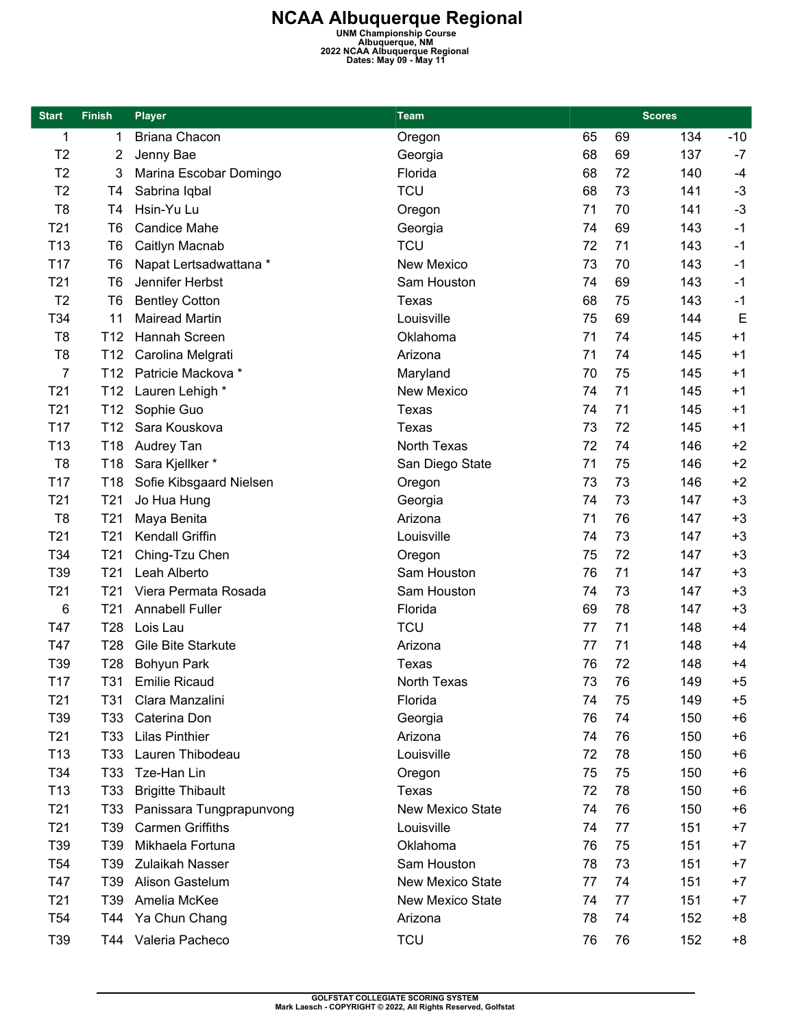**NCAA Albuquerque Regional**<br>
UNM Championship Course<br>
Albuquerque, NM<br>
2022 NCAA Albuquerque, Regional<br>
Dates: May 09 - May 11

| <b>Start</b>    | <b>Finish</b>   | <b>Player</b>            | <b>Team</b>             |    | <b>Scores</b> |     |       |
|-----------------|-----------------|--------------------------|-------------------------|----|---------------|-----|-------|
| 1               | 1               | <b>Briana Chacon</b>     | Oregon                  | 65 | 69            | 134 | $-10$ |
| T <sub>2</sub>  | 2               | Jenny Bae                | Georgia                 | 68 | 69            | 137 | $-7$  |
| T <sub>2</sub>  | 3               | Marina Escobar Domingo   | Florida                 | 68 | 72            | 140 | $-4$  |
| T <sub>2</sub>  | T4              | Sabrina Iqbal            | <b>TCU</b>              | 68 | 73            | 141 | $-3$  |
| T <sub>8</sub>  | T <sub>4</sub>  | Hsin-Yu Lu               | Oregon                  | 71 | 70            | 141 | $-3$  |
| T <sub>21</sub> | T <sub>6</sub>  | <b>Candice Mahe</b>      | Georgia                 | 74 | 69            | 143 | $-1$  |
| T <sub>13</sub> | T <sub>6</sub>  | Caitlyn Macnab           | <b>TCU</b>              | 72 | 71            | 143 | $-1$  |
| T17             | T <sub>6</sub>  | Napat Lertsadwattana *   | New Mexico              | 73 | 70            | 143 | $-1$  |
| T <sub>21</sub> | T <sub>6</sub>  | Jennifer Herbst          | Sam Houston             | 74 | 69            | 143 | $-1$  |
| T <sub>2</sub>  | T <sub>6</sub>  | <b>Bentley Cotton</b>    | <b>Texas</b>            | 68 | 75            | 143 | $-1$  |
| T34             | 11              | <b>Mairead Martin</b>    | Louisville              | 75 | 69            | 144 | E     |
| T <sub>8</sub>  | T <sub>12</sub> | Hannah Screen            | Oklahoma                | 71 | 74            | 145 | $+1$  |
| T <sub>8</sub>  | T <sub>12</sub> | Carolina Melgrati        | Arizona                 | 71 | 74            | 145 | $+1$  |
| $\overline{7}$  | T <sub>12</sub> | Patricie Mackova *       | Maryland                | 70 | 75            | 145 | $+1$  |
| T <sub>21</sub> | T <sub>12</sub> | Lauren Lehigh *          | <b>New Mexico</b>       | 74 | 71            | 145 | $+1$  |
| T <sub>21</sub> | T <sub>12</sub> | Sophie Guo               | Texas                   | 74 | 71            | 145 | $+1$  |
| T17             | T <sub>12</sub> | Sara Kouskova            | <b>Texas</b>            | 73 | 72            | 145 | $+1$  |
| T <sub>13</sub> | T18             | Audrey Tan               | North Texas             | 72 | 74            | 146 | $+2$  |
| T <sub>8</sub>  | T18             | Sara Kjellker*           | San Diego State         | 71 | 75            | 146 | $+2$  |
| T17             | T18             | Sofie Kibsgaard Nielsen  | Oregon                  | 73 | 73            | 146 | $+2$  |
| T <sub>21</sub> | T21             | Jo Hua Hung              | Georgia                 | 74 | 73            | 147 | $+3$  |
| T <sub>8</sub>  | T <sub>21</sub> | Maya Benita              | Arizona                 | 71 | 76            | 147 | $+3$  |
| T <sub>21</sub> | T <sub>21</sub> | Kendall Griffin          | Louisville              | 74 | 73            | 147 | $+3$  |
| T34             | T <sub>21</sub> | Ching-Tzu Chen           | Oregon                  | 75 | 72            | 147 | $+3$  |
| T39             | T21             | Leah Alberto             | Sam Houston             | 76 | 71            | 147 | $+3$  |
| T <sub>21</sub> | T <sub>21</sub> | Viera Permata Rosada     | Sam Houston             | 74 | 73            | 147 | $+3$  |
| 6               | T <sub>21</sub> | <b>Annabell Fuller</b>   | Florida                 | 69 | 78            | 147 | $+3$  |
| T47             | T28             | Lois Lau                 | <b>TCU</b>              | 77 | 71            | 148 | $+4$  |
| T47             | T28             | Gile Bite Starkute       | Arizona                 | 77 | 71            | 148 | $+4$  |
| T39             | T <sub>28</sub> | Bohyun Park              | Texas                   | 76 | 72            | 148 | $+4$  |
| T17             | T31             | <b>Emilie Ricaud</b>     | North Texas             | 73 | 76            | 149 | $+5$  |
| T <sub>21</sub> | T31             | Clara Manzalini          | Florida                 | 74 | 75            | 149 | $+5$  |
| T39             | T33             | Caterina Don             | Georgia                 | 76 | 74            | 150 | $+6$  |
| T <sub>21</sub> | T33             | <b>Lilas Pinthier</b>    | Arizona                 | 74 | 76            | 150 | $+6$  |
| T <sub>13</sub> | T33             | Lauren Thibodeau         | Louisville              | 72 | 78            | 150 | $+6$  |
| T34             | T33             | Tze-Han Lin              | Oregon                  | 75 | 75            | 150 | $+6$  |
| T <sub>13</sub> | T33             | <b>Brigitte Thibault</b> | Texas                   | 72 | 78            | 150 | $+6$  |
| T <sub>21</sub> | T33             | Panissara Tungprapunvong | New Mexico State        | 74 | 76            | 150 | $+6$  |
| T <sub>21</sub> | T39             | <b>Carmen Griffiths</b>  | Louisville              | 74 | 77            | 151 | $+7$  |
| T39             | T39             | Mikhaela Fortuna         | Oklahoma                | 76 | 75            | 151 | $+7$  |
| T <sub>54</sub> | T39             | Zulaikah Nasser          | Sam Houston             | 78 | 73            | 151 | $+7$  |
| T47             | T39             | Alison Gastelum          | <b>New Mexico State</b> | 77 | 74            | 151 | $+7$  |
| T <sub>21</sub> | T39             | Amelia McKee             | New Mexico State        | 74 | 77            | 151 | $+7$  |
| T <sub>54</sub> | T44             | Ya Chun Chang            | Arizona                 | 78 | 74            | 152 | $+8$  |
| T39             | T44             | Valeria Pacheco          | <b>TCU</b>              | 76 | 76            | 152 | $+8$  |